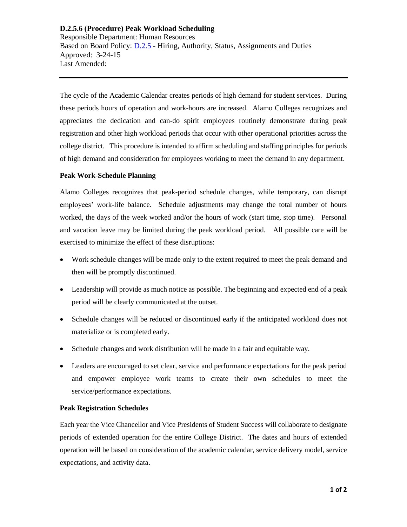## **D.2.5.6 (Procedure) Peak Workload Scheduling**  Responsible Department: Human Resources Based on Board Policy: [D.2.5](https://www.alamo.edu/siteassets/district/about-us/leadership/board-of-trustees/policies-pdfs/section-d/d.2.5-policy.pdf) - Hiring, Authority, Status, Assignments and Duties Approved: 3-24-15 Last Amended:

The cycle of the Academic Calendar creates periods of high demand for student services. During these periods hours of operation and work-hours are increased. Alamo Colleges recognizes and appreciates the dedication and can-do spirit employees routinely demonstrate during peak registration and other high workload periods that occur with other operational priorities across the college district. This procedure is intended to affirm scheduling and staffing principles for periods of high demand and consideration for employees working to meet the demand in any department.

## **Peak Work-Schedule Planning**

Alamo Colleges recognizes that peak-period schedule changes, while temporary, can disrupt employees' work-life balance. Schedule adjustments may change the total number of hours worked, the days of the week worked and/or the hours of work (start time, stop time). Personal and vacation leave may be limited during the peak workload period. All possible care will be exercised to minimize the effect of these disruptions:

- Work schedule changes will be made only to the extent required to meet the peak demand and then will be promptly discontinued.
- Leadership will provide as much notice as possible. The beginning and expected end of a peak period will be clearly communicated at the outset.
- Schedule changes will be reduced or discontinued early if the anticipated workload does not materialize or is completed early.
- Schedule changes and work distribution will be made in a fair and equitable way.
- Leaders are encouraged to set clear, service and performance expectations for the peak period and empower employee work teams to create their own schedules to meet the service/performance expectations.

## **Peak Registration Schedules**

Each year the Vice Chancellor and Vice Presidents of Student Success will collaborate to designate periods of extended operation for the entire College District. The dates and hours of extended operation will be based on consideration of the academic calendar, service delivery model, service expectations, and activity data.